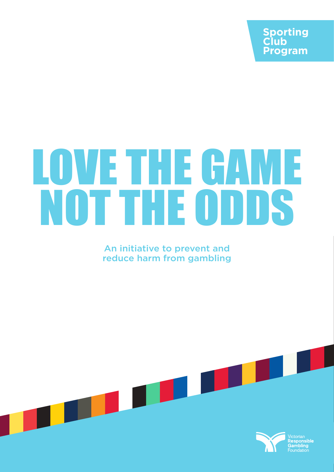**Sporting Club Program**

## LOVE THE GAME NOT THE ODDS

An initiative to prevent and reduce harm from gambling

**The Second Second** 

D

**TELESCOPE** 

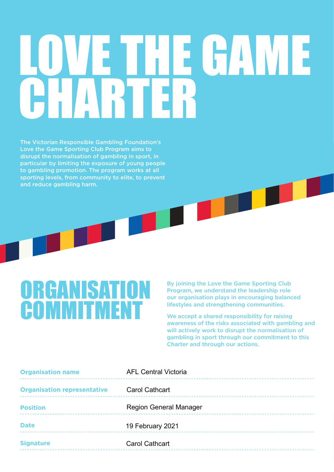# LUE CLAME **TAR**

The Victorian Responsible Gambling Foundation's Love the Game Sporting Club Program aims to disrupt the normalisation of gambling in sport, in particular by limiting the exposure of young people to gambling promotion. The program works at all sporting levels, from community to elite, to prevent and reduce gambling harm.

## NIS **COMMITMENT**

By joining the Love the Game Sporting Club Program, we understand the leadership role our organisation plays in encouraging balanced lifestyles and strengthening communities.

We accept a shared responsibility for raising awareness of the risks associated with gambling and will actively work to disrupt the normalisation of gambling in sport through our commitment to this Charter and through our actions.

| <b>Organisation name</b>           | <b>AFL Central Victoria</b>   |
|------------------------------------|-------------------------------|
| <b>Organisation representative</b> | <b>Carol Cathcart</b>         |
| <b>Position</b>                    | <b>Region General Manager</b> |
| <b>Date</b>                        | 19 February 2021              |
| <b>Signature</b>                   | <b>Carol Cathcart</b>         |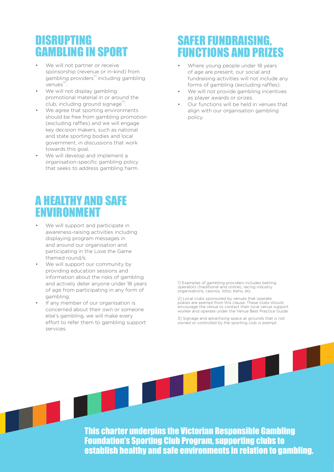#### DISRUPTING GAMBLING IN SPORT

- We will not partner or receive sponsorship (revenue or in-kind) from gambling providers<sup>[1]</sup> including gambling  $v$ enues $^{2}$ .
- We will not display gambling promotional material in or around the club, including ground signage<sup>[3]</sup>.
- We agree that sporting environments should be free from gambling promotion (excluding raffles) and we will engage key decision makers, such as national and state sporting bodies and local government, in discussions that work towards this goal.
- We will develop and implement a organisation-specific gambling policy that seeks to address gambling harm.

#### A HEALTHY AND SAFE ENVIRONMENT

- We will support and participate in awareness-raising activities including displaying program messages in and around our organisation and participating in the Love the Game themed round/s.
- We will support our community by providing education sessions and information about the risks of gambling and actively deter anyone under 18 years of age from participating in any form of gambling.
- If any member of our organisation is concerned about their own or someone else's gambling, we will make every effort to refer them to gambling support services.

#### SAFER FUNDRAISING, FUNCTIONS AND PRIZES

- Where young people under 18 years of age are present, our social and fundraising activities will not include any forms of gambling (excluding raffles).
- We will not provide gambling incentives as player awards or prizes.
- Our functions will be held in venues that align with our organisation gambling policy.

1] Examples of gambling providers includes betting operators (traditional and online), racing industry organisations, casinos, lotto, Keno, etc.

2] Local clubs sponsored by venues that operate pokies are exempt from this clause. These clubs should encourage the venue to contact their local venue support worker and operate under the Venue Best Practice Guide.

3] Signage and advertising space at grounds that is not owned or controlled by the sporting club is exempt.

This charter underpins the Victorian Responsible Gambling Foundation's Sporting Club Program, supporting clubs to establish healthy and safe environments in relation to gambling.